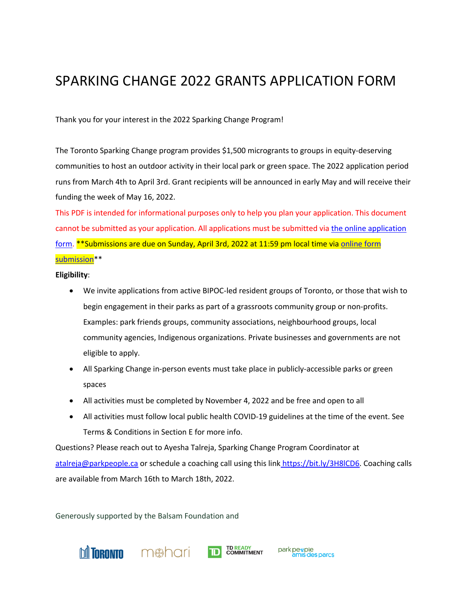# SPARKING CHANGE 2022 GRANTS APPLICATION FORM

Thank you for your interest in the 2022 Sparking Change Program!

The Toronto Sparking Change program provides \$1,500 microgrants to groups in equity-deserving communities to host an outdoor activity in their local park or green space. The 2022 application period runs from March 4th to April 3rd. Grant recipients will be announced in early May and will receive their funding the week of May 16, 2022.

This PDF is intended for informational purposes only to help you plan your application. This document cannot be submitted as your application. All applications must be submitted via the online application form. \*\*Submissions are due on Sunday, April 3rd, 2022 at 11:59 pm local time via online form submission\*\*

**Eligibility**:

- We invite applications from active BIPOC-led resident groups of Toronto, or those that wish to begin engagement in their parks as part of a grassroots community group or non-profits. Examples: park friends groups, community associations, neighbourhood groups, local community agencies, Indigenous organizations. Private businesses and governments are not eligible to apply.
- All Sparking Change in-person events must take place in publicly-accessible parks or green spaces
- All activities must be completed by November 4, 2022 and be free and open to all
- All activities must follow local public health COVID-19 guidelines at the time of the event. See Terms & Conditions in Section E for more info.

Questions? Please reach out to Ayesha Talreja, Sparking Change Program Coordinator at atalreja@parkpeople.ca or schedule a coaching call using this link https://bit.ly/3H8lCD6. Coaching calls are available from March 16th to March 18th, 2022.

**TD READY**<br> **COMMITMENT** 

park people<br>amis des parcs

Generously supported by the Balsam Foundation and

**Mineovin** m**&hari**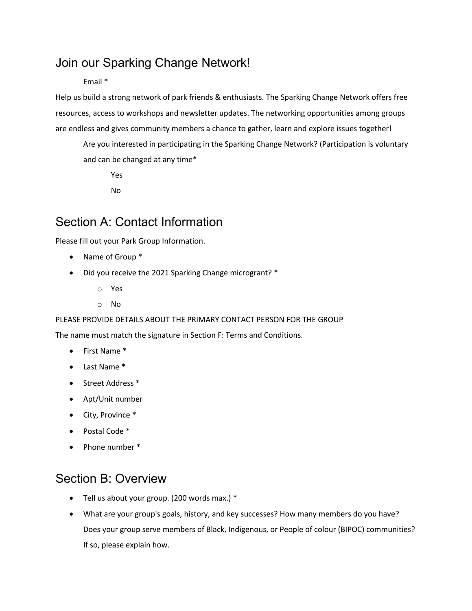## Join our Sparking Change Network!

#### Email \*

Help us build a strong network of park friends & enthusiasts. The Sparking Change Network offers free resources, access to workshops and newsletter updates. The networking opportunities among groups are endless and gives community members a chance to gather, learn and explore issues together!

Are you interested in participating in the Sparking Change Network? (Participation is voluntary and can be changed at any time\*

Yes

No

## Section A: Contact Information

Please fill out your Park Group Information.

- Name of Group \*
- Did you receive the 2021 Sparking Change microgrant? \*
	- o Yes
	- o No

#### PLEASE PROVIDE DETAILS ABOUT THE PRIMARY CONTACT PERSON FOR THE GROUP

The name must match the signature in Section F: Terms and Conditions.

- First Name \*
- Last Name \*
- Street Address \*
- Apt/Unit number
- City, Province \*
- Postal Code \*
- Phone number \*

## Section B: Overview

- Tell us about your group. (200 words max.) \*
- What are your group's goals, history, and key successes? How many members do you have? Does your group serve members of Black, Indigenous, or People of colour (BIPOC) communities? If so, please explain how.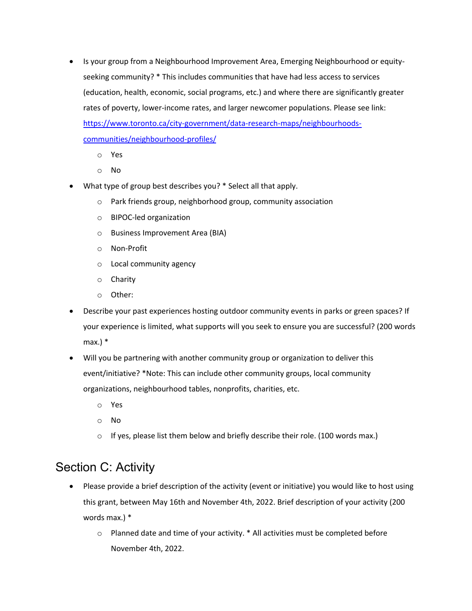- Is your group from a Neighbourhood Improvement Area, Emerging Neighbourhood or equityseeking community? \* This includes communities that have had less access to services (education, health, economic, social programs, etc.) and where there are significantly greater rates of poverty, lower-income rates, and larger newcomer populations. Please see link: https://www.toronto.ca/city-government/data-research-maps/neighbourhoodscommunities/neighbourhood-profiles/
	- o Yes
	- o No
- What type of group best describes you? \* Select all that apply.
	- o Park friends group, neighborhood group, community association
	- o BIPOC-led organization
	- o Business Improvement Area (BIA)
	- o Non-Profit
	- o Local community agency
	- o Charity
	- o Other:
- Describe your past experiences hosting outdoor community events in parks or green spaces? If your experience is limited, what supports will you seek to ensure you are successful? (200 words max.)  $*$
- Will you be partnering with another community group or organization to deliver this event/initiative? \*Note: This can include other community groups, local community organizations, neighbourhood tables, nonprofits, charities, etc.
	- o Yes
	- o No
	- $\circ$  If yes, please list them below and briefly describe their role. (100 words max.)

### Section C: Activity

- Please provide a brief description of the activity (event or initiative) you would like to host using this grant, between May 16th and November 4th, 2022. Brief description of your activity (200 words max.) \*
	- o Planned date and time of your activity. \* All activities must be completed before November 4th, 2022.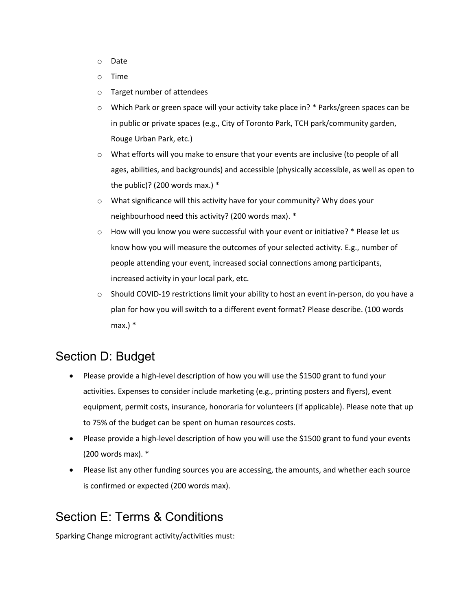- o Date
- o Time
- o Target number of attendees
- $\circ$  Which Park or green space will your activity take place in? \* Parks/green spaces can be in public or private spaces (e.g., City of Toronto Park, TCH park/community garden, Rouge Urban Park, etc.)
- $\circ$  What efforts will you make to ensure that your events are inclusive (to people of all ages, abilities, and backgrounds) and accessible (physically accessible, as well as open to the public)? (200 words max.) \*
- $\circ$  What significance will this activity have for your community? Why does your neighbourhood need this activity? (200 words max). \*
- $\circ$  How will you know you were successful with your event or initiative?  $*$  Please let us know how you will measure the outcomes of your selected activity. E.g., number of people attending your event, increased social connections among participants, increased activity in your local park, etc.
- o Should COVID-19 restrictions limit your ability to host an event in-person, do you have a plan for how you will switch to a different event format? Please describe. (100 words max.) \*

## Section D: Budget

- Please provide a high-level description of how you will use the \$1500 grant to fund your activities. Expenses to consider include marketing (e.g., printing posters and flyers), event equipment, permit costs, insurance, honoraria for volunteers (if applicable). Please note that up to 75% of the budget can be spent on human resources costs.
- Please provide a high-level description of how you will use the \$1500 grant to fund your events (200 words max). \*
- Please list any other funding sources you are accessing, the amounts, and whether each source is confirmed or expected (200 words max).

## Section E: Terms & Conditions

Sparking Change microgrant activity/activities must: